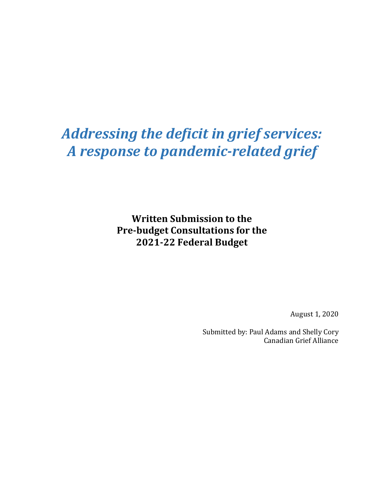# *Addressing the deficit in grief services: A response to pandemic-related grief*

**Written Submission to the Pre-budget Consultations for the 2021-22 Federal Budget**

August 1, 2020

Submitted by: Paul Adams and Shelly Cory Canadian Grief Alliance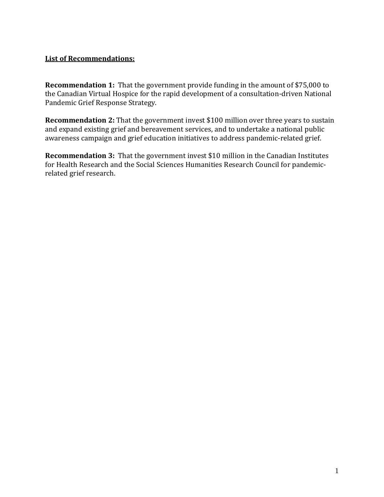# **List of Recommendations:**

**Recommendation 1:** That the government provide funding in the amount of \$75,000 to the Canadian Virtual Hospice for the rapid development of a consultation-driven National Pandemic Grief Response Strategy.

**Recommendation 2:** That the government invest \$100 million over three years to sustain and expand existing grief and bereavement services, and to undertake a national public awareness campaign and grief education initiatives to address pandemic-related grief.

**Recommendation 3:** That the government invest \$10 million in the Canadian Institutes for Health Research and the Social Sciences Humanities Research Council for pandemicrelated grief research.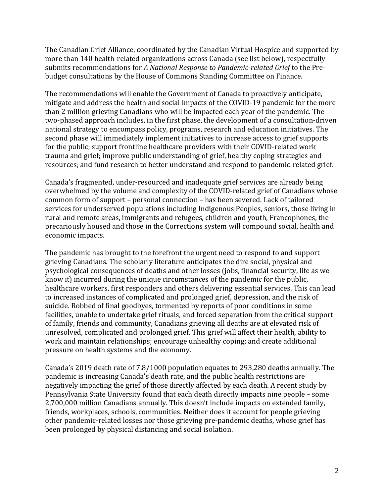The Canadian Grief Alliance, coordinated by the Canadian Virtual Hospice and supported by more than 140 health-related organizations across Canada (see list below), respectfully submits recommendations for *A National Response to Pandemic-related Grief* to the Prebudget consultations by the House of Commons Standing Committee on Finance.

The recommendations will enable the Government of Canada to proactively anticipate, mitigate and address the health and social impacts of the COVID-19 pandemic for the more than 2 million grieving Canadians who will be impacted each year of the pandemic. The two-phased approach includes, in the first phase, the development of a consultation-driven national strategy to encompass policy, programs, research and education initiatives. The second phase will immediately implement initiatives to increase access to grief supports for the public; support frontline healthcare providers with their COVID-related work trauma and grief; improve public understanding of grief, healthy coping strategies and resources; and fund research to better understand and respond to pandemic-related grief.

Canada's fragmented, under-resourced and inadequate grief services are already being overwhelmed by the volume and complexity of the COVID-related grief of Canadians whose common form of support – personal connection – has been severed. Lack of tailored services for underserved populations including Indigenous Peoples, seniors, those living in rural and remote areas, immigrants and refugees, children and youth, Francophones, the precariously housed and those in the Corrections system will compound social, health and economic impacts.

The pandemic has brought to the forefront the urgent need to respond to and support grieving Canadians. The scholarly literature anticipates the dire social, physical and psychological consequences of deaths and other losses (jobs, financial security, life as we know it) incurred during the unique circumstances of the pandemic for the public, healthcare workers, first responders and others delivering essential services. This can lead to increased instances of complicated and prolonged grief, depression, and the risk of suicide. Robbed of final goodbyes, tormented by reports of poor conditions in some facilities, unable to undertake grief rituals, and forced separation from the critical support of family, friends and community, Canadians grieving all deaths are at elevated risk of unresolved, complicated and prolonged grief. This grief will affect their health, ability to work and maintain relationships; encourage unhealthy coping; and create additional pressure on health systems and the economy.

Canada's 2019 death rate of 7.8/1000 population equates to 293,280 deaths annually. The pandemic is increasing Canada's death rate, and the public health restrictions are negatively impacting the grief of those directly affected by each death. A recent study by Pennsylvania State University found that each death directly impacts nine people – some 2,700,000 million Canadians annually. This doesn't include impacts on extended family, friends, workplaces, schools, communities. Neither does it account for people grieving other pandemic-related losses nor those grieving pre-pandemic deaths, whose grief has been prolonged by physical distancing and social isolation.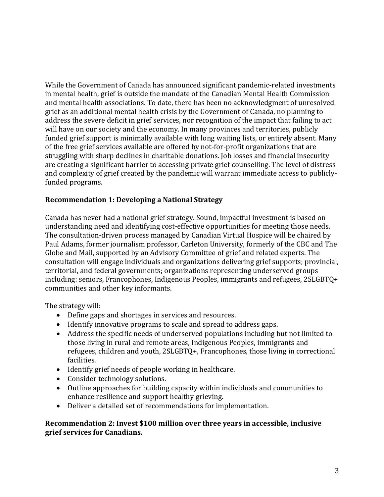While the Government of Canada has announced significant pandemic-related investments in mental health, grief is outside the mandate of the Canadian Mental Health Commission and mental health associations. To date, there has been no acknowledgment of unresolved grief as an additional mental health crisis by the Government of Canada, no planning to address the severe deficit in grief services, nor recognition of the impact that failing to act will have on our society and the economy. In many provinces and territories, publicly funded grief support is minimally available with long waiting lists, or entirely absent. Many of the free grief services available are offered by not-for-profit organizations that are struggling with sharp declines in charitable donations. Job losses and financial insecurity are creating a significant barrier to accessing private grief counselling. The level of distress and complexity of grief created by the pandemic will warrant immediate access to publiclyfunded programs.

# **Recommendation 1: Developing a National Strategy**

Canada has never had a national grief strategy. Sound, impactful investment is based on understanding need and identifying cost-effective opportunities for meeting those needs. The consultation-driven process managed by Canadian Virtual Hospice will be chaired by Paul Adams, former journalism professor, Carleton University, formerly of the CBC and The Globe and Mail, supported by an Advisory Committee of grief and related experts. The consultation will engage individuals and organizations delivering grief supports; provincial, territorial, and federal governments; organizations representing underserved groups including: seniors, Francophones, Indigenous Peoples, immigrants and refugees, 2SLGBTQ+ communities and other key informants.

The strategy will:

- Define gaps and shortages in services and resources.
- Identify innovative programs to scale and spread to address gaps.
- Address the specific needs of underserved populations including but not limited to those living in rural and remote areas, Indigenous Peoples, immigrants and refugees, children and youth, 2SLGBTQ+, Francophones, those living in correctional facilities.
- Identify grief needs of people working in healthcare.
- Consider technology solutions.
- Outline approaches for building capacity within individuals and communities to enhance resilience and support healthy grieving.
- Deliver a detailed set of recommendations for implementation.

# **Recommendation 2: Invest \$100 million over three years in accessible, inclusive grief services for Canadians.**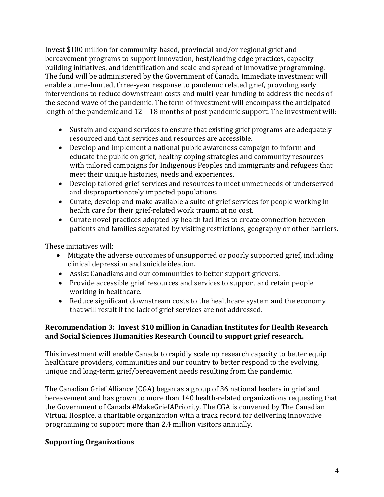Invest \$100 million for community-based, provincial and/or regional grief and bereavement programs to support innovation, best/leading edge practices, capacity building initiatives, and identification and scale and spread of innovative programming. The fund will be administered by the Government of Canada. Immediate investment will enable a time-limited, three-year response to pandemic related grief, providing early interventions to reduce downstream costs and multi-year funding to address the needs of the second wave of the pandemic. The term of investment will encompass the anticipated length of the pandemic and 12 – 18 months of post pandemic support. The investment will:

- Sustain and expand services to ensure that existing grief programs are adequately resourced and that services and resources are accessible.
- Develop and implement a national public awareness campaign to inform and educate the public on grief, healthy coping strategies and community resources with tailored campaigns for Indigenous Peoples and immigrants and refugees that meet their unique histories, needs and experiences.
- Develop tailored grief services and resources to meet unmet needs of underserved and disproportionately impacted populations.
- Curate, develop and make available a suite of grief services for people working in health care for their grief-related work trauma at no cost.
- Curate novel practices adopted by health facilities to create connection between patients and families separated by visiting restrictions, geography or other barriers.

These initiatives will:

- Mitigate the adverse outcomes of unsupported or poorly supported grief, including clinical depression and suicide ideation.
- Assist Canadians and our communities to better support grievers.
- Provide accessible grief resources and services to support and retain people working in healthcare.
- Reduce significant downstream costs to the healthcare system and the economy that will result if the lack of grief services are not addressed.

# **Recommendation 3: Invest \$10 million in Canadian Institutes for Health Research and Social Sciences Humanities Research Council to support grief research.**

This investment will enable Canada to rapidly scale up research capacity to better equip healthcare providers, communities and our country to better respond to the evolving, unique and long-term grief/bereavement needs resulting from the pandemic.

The Canadian Grief Alliance (CGA) began as a group of 36 national leaders in grief and bereavement and has grown to more than 140 health-related organizations requesting that the Government of Canada #MakeGriefAPriority. The CGA is convened by The Canadian Virtual Hospice, a charitable organization with a track record for delivering innovative programming to support more than 2.4 million visitors annually.

# **Supporting Organizations**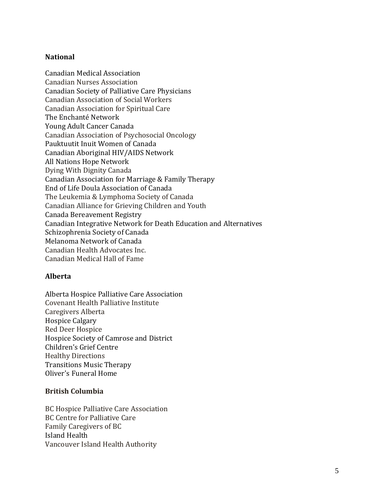# **National**

Canadian Medical Association Canadian Nurses Association Canadian Society of Palliative Care Physicians Canadian Association of Social Workers Canadian Association for Spiritual Care The Enchanté Network Young Adult Cancer Canada Canadian Association of Psychosocial Oncology Pauktuutit Inuit Women of Canada Canadian Aboriginal HIV/AIDS Network All Nations Hope Network Dying With Dignity Canada Canadian Association for Marriage & Family Therapy End of Life Doula Association of Canada The Leukemia & Lymphoma Society of Canada Canadian Alliance for Grieving Children and Youth Canada Bereavement Registry Canadian Integrative Network for Death Education and Alternatives Schizophrenia Society of Canada Melanoma Network of Canada Canadian Health Advocates Inc. Canadian Medical Hall of Fame

# **Alberta**

Alberta Hospice Palliative Care Association Covenant Health Palliative Institute Caregivers Alberta Hospice Calgary Red Deer Hospice Hospice Society of Camrose and District Children's Grief Centre Healthy Directions Transitions Music Therapy Oliver's Funeral Home

# **British Columbia**

BC Hospice Palliative Care Association BC Centre for Palliative Care Family Caregivers of BC Island Health Vancouver Island Health Authority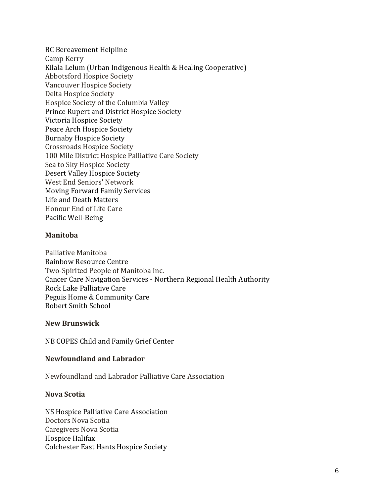BC Bereavement Helpline Camp Kerry Kilala Lelum (Urban Indigenous Health & Healing Cooperative) Abbotsford Hospice Society Vancouver Hospice Society Delta Hospice Society Hospice Society of the Columbia Valley Prince Rupert and District Hospice Society Victoria Hospice Society Peace Arch Hospice Society Burnaby Hospice Society Crossroads Hospice Society 100 Mile District Hospice Palliative Care Society Sea to Sky Hospice Society Desert Valley Hospice Society West End Seniors' Network Moving Forward Family Services Life and Death Matters Honour End of Life Care Pacific Well-Being

#### **Manitoba**

Palliative Manitoba Rainbow Resource Centre Two-Spirited People of Manitoba Inc. Cancer Care Navigation Services - Northern Regional Health Authority Rock Lake Palliative Care Peguis Home & Community Care Robert Smith School

#### **New Brunswick**

NB COPES Child and Family Grief Center

# **Newfoundland and Labrador**

Newfoundland and Labrador Palliative Care Association

# **Nova Scotia**

NS Hospice Palliative Care Association Doctors Nova Scotia Caregivers Nova Scotia Hospice Halifax Colchester East Hants Hospice Society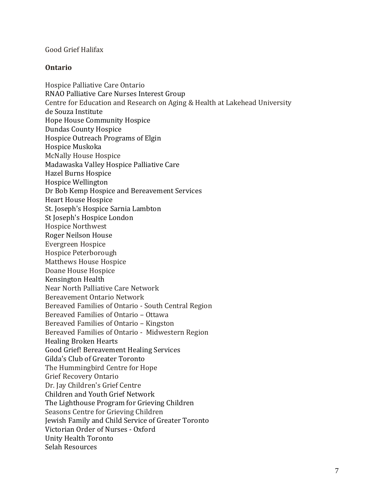#### Good Grief Halifax

#### **Ontario**

Hospice Palliative Care Ontario RNAO Palliative Care Nurses Interest Group Centre for Education and Research on Aging & Health at Lakehead University de Souza Institute Hope House Community Hospice Dundas County Hospice Hospice Outreach Programs of Elgin Hospice Muskoka McNally House Hospice Madawaska Valley Hospice Palliative Care Hazel Burns Hospice Hospice Wellington Dr Bob Kemp Hospice and Bereavement Services Heart House Hospice St. Joseph's Hospice Sarnia Lambton St Joseph's Hospice London Hospice Northwest Roger Neilson House Evergreen Hospice Hospice Peterborough Matthews House Hospice Doane House Hospice Kensington Health Near North Palliative Care Network Bereavement Ontario Network Bereaved Families of Ontario - South Central Region Bereaved Families of Ontario – Ottawa Bereaved Families of Ontario – Kingston Bereaved Families of Ontario - Midwestern Region Healing Broken Hearts Good Grief! Bereavement Healing Services Gilda's Club of Greater Toronto The Hummingbird Centre for Hope Grief Recovery Ontario Dr. Jay Children's Grief Centre Children and Youth Grief Network The Lighthouse Program for Grieving Children Seasons Centre for Grieving Children Jewish Family and Child Service of Greater Toronto Victorian Order of Nurses - Oxford Unity Health Toronto Selah Resources